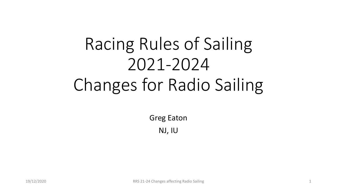# Racing Rules of Sailing 2021-2024 Changes for Radio Sailing

Greg Eaton NJ, IU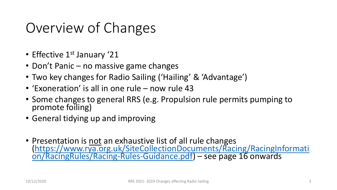# Overview of Changes

- Effective 1<sup>st</sup> January '21
- Don't Panic no massive game changes
- Two key changes for Radio Sailing ('Hailing' & 'Advantage')
- 'Exoneration' is all in one rule now rule 43
- Some changes to general RRS (e.g. Propulsion rule permits pumping to promote foiling)
- General tidying up and improving
- Presentation is not an exhaustive list of all rule changes [\(https://www.rya.org.uk/SiteCollectionDocuments/Racing/RacingInformati](https://www.rya.org.uk/SiteCollectionDocuments/Racing/RacingInformation/RacingRules/Racing-Rules-Guidance.pdf) on/RacingRules/Racing-Rules-Guidance.pdf) – see page 16 onwards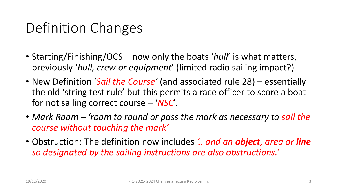# Definition Changes

- Starting/Finishing/OCS now only the boats '*hull*' is what matters, previously '*hull, crew or equipment*' (limited radio sailing impact?)
- New Definition '*Sail the Course'* (and associated rule 28) essentially the old 'string test rule' but this permits a race officer to score a boat for not sailing correct course – '*NSC*'.
- Mark Room 'room to round or pass the mark as necessary to sail the *course without touching the mark'*
- Obstruction: The definition now includes *'.. and an object, area or line so designated by the sailing instructions are also obstructions.'*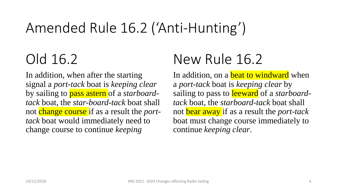# Amended Rule 16.2 ('Anti-Hunting')

# Old 16.2

In addition, when after the starting signal a *port-tack* boat is *keeping clear*  by sailing to pass astern of a *starboardtack* boat, the *star-board-tack* boat shall not change course if as a result the *porttack* boat would immediately need to change course to continue *keeping* 

# New Rule 16.2

In addition, on a **beat to windward** when a *port-tack* boat is *keeping clear* by sailing to pass to leeward of a *starboardtack* boat, the *starboard-tack* boat shall not bear away if as a result the *port-tack*  boat must change course immediately to continue *keeping clear*.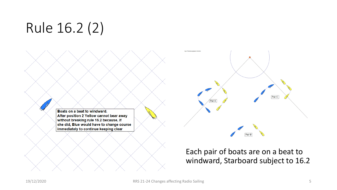# Rule 16.2 (2)

Copy of TSS software registered to Chris Sin Pair C Pair B

Boats on a beat to windward. After position 2 Yellow cannot bear away without breaking rule 16.2 because, if she did, Blue would have to change course immediately to continue keeping clear

#### Each pair of boats are on a beat to windward, Starboard subject to 16.2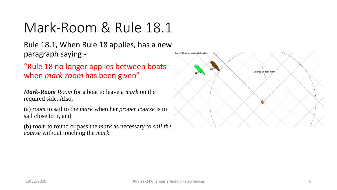# Mark-Room & Rule 18.1

Rule 18.1, When Rule 18 applies, has a new paragraph saying:-

"Rule 18 no longer applies between boats when *mark-room* has been given"

*Mark-Room Room* for a boat to leave a *mark* on the required side. Also,

(a) *room* to sail to the *mark* when her *proper course* is to sail close to it, and

(b) *room* to round or pass the *mark* as necessary to *sail the course* without touching the *mark*.

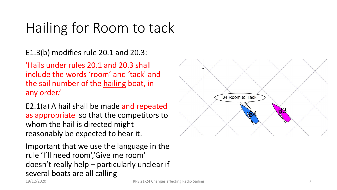## Hailing for Room to tack

E1.3(b) modifies rule 20.1 and 20.3: -

'Hails under rules 20.1 and 20.3 shall include the words 'room' and 'tack' and the sail number of the hailing boat, in any order.'

E2.1(a) A hail shall be made and repeated as appropriate so that the competitors to whom the hail is directed might reasonably be expected to hear it.

Important that we use the language in the rule 'I'll need room','Give me room' doesn't really help – particularly unclear if several boats are all calling

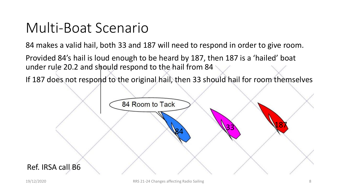#### Multi-Boat Scenario

84 makes a valid hail, both 33 and 187 will need to respond in order to give room.

Provided 84's hail is loud enough to be heard by 187, then 187 is a 'hailed' boat under rule 20.2 and should respond to the hail from 84

If 187 does not respond to the original hail, then 33 should hail for room themselves

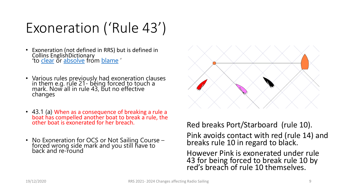# Exoneration ('Rule 43')

- Exoneration (not defined in RRS) but is defined in Collins EnglishDictionary to [clear](https://www.collinsdictionary.com/dictionary/english/clear) or [absolve](https://www.collinsdictionary.com/dictionary/english/absolve) from [blame](https://www.collinsdictionary.com/dictionary/english/blame) '
- Various rules previously had exoneration clauses in them e.g. rule 21- being forced to touch a mark. Now all in rule 43, but no effective changes
- 43.1 (a) When as a consequence of breaking a rule a boat has compelled another boat to break a rule, the other boat is exonerated for her breach.
- No Exoneration for OCS or Not Sailing Course forced wrong side mark and you still have to back and re-round



Red breaks Port/Starboard (rule 10).

Pink avoids contact with red (rule 14) and breaks rule 10 in regard to black.

However Pink is exonerated under rule 43 for being forced to break rule 10 by red's breach of rule 10 themselves.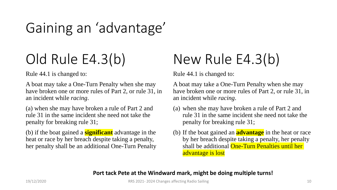# Gaining an 'advantage'

# Old Rule E4.3(b)

Rule 44.1 is changed to:

A boat may take a One-Turn Penalty when she may have broken one or more rules of Part 2, or rule 31, in an incident while *racing*.

(a) when she may have broken a rule of Part 2 and rule 31 in the same incident she need not take the penalty for breaking rule 31;

(b) if the boat gained a **significant** advantage in the heat or race by her breach despite taking a penalty, her penalty shall be an additional One-Turn Penalty

# New Rule E4.3(b)

Rule 44.1 is changed to:

A boat may take a One-Turn Penalty when she may have broken one or more rules of Part 2, or rule 31, in an incident while *racing*.

- (a) when she may have broken a rule of Part 2 and rule 31 in the same incident she need not take the penalty for breaking rule 31;
- (b) If the boat gained an **advantage** in the heat or race by her breach despite taking a penalty, her penalty shall be additional One-Turn Penalties until her advantage is lost

#### **Port tack Pete at the Windward mark, might be doing multiple turns!**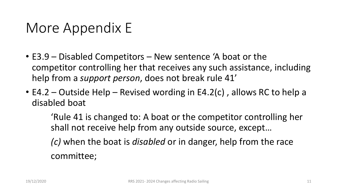#### More Appendix E

- E3.9 Disabled Competitors New sentence 'A boat or the competitor controlling her that receives any such assistance, including help from a *support person*, does not break rule 41'
- E4.2 Outside Help Revised wording in E4.2(c) , allows RC to help a disabled boat

'Rule 41 is changed to: A boat or the competitor controlling her shall not receive help from any outside source, except…

*(c)* when the boat is *disabled* or in danger, help from the race committee;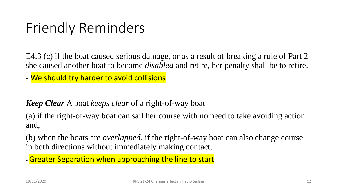# Friendly Reminders

E4.3 (c) if the boat caused serious damage, or as a result of breaking a rule of Part 2 she caused another boat to become *disabled* and retire, her penalty shall be to retire.

- We should try harder to avoid collisions

*Keep Clear* A boat *keeps clear* of a right-of-way boat

(a) if the right-of-way boat can sail her course with no need to take avoiding action and,

(b) when the boats are *overlapped*, if the right-of-way boat can also change course in both directions without immediately making contact.

- Greater Separation when approaching the line to start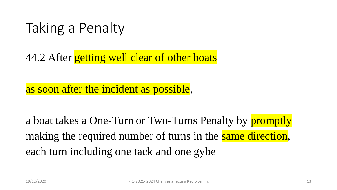#### Taking a Penalty

44.2 After getting well clear of other boats

as soon after the incident as possible,

a boat takes a One-Turn or Two-Turns Penalty by **promptly** making the required number of turns in the same direction, each turn including one tack and one gybe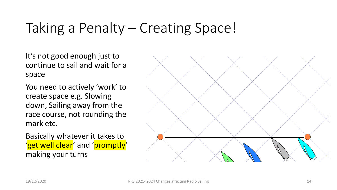# Taking a Penalty – Creating Space!

It's not good enough just to continue to sail and wait for a space

You need to actively 'work' to create space e.g. Slowing down, Sailing away from the race course, not rounding the mark etc.

Basically whatever it takes to 'get well clear' and 'promptly' making your turns